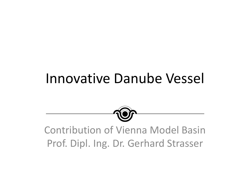# Innovative Danube Vessel



## Contribution of Vienna Model Basin Prof. Dipl. Ing. Dr. Gerhard Strasser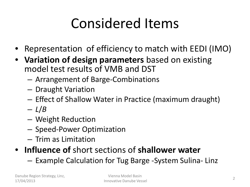# Considered Items

- Representation of efficiency to match with EEDI (IMO)
- **Variation of design parameters** based on existing model test results of VMB and DST
	- Arrangement of Barge-Combinations
	- Draught Variation
	- Effect of Shallow Water in Practice (maximum draught)
	- *L*/*B*
	- Weight Reduction
	- Speed-Power Optimization
	- Trim as Limitation
- **Influence of** short sections of **shallower water**
	- Example Calculation for Tug Barge -System Sulina- Linz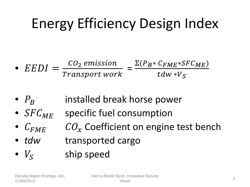# Energy Efficiency Design Index

• 
$$
EEDI = \frac{CO_2 \text{ emission}}{\text{Transport work}} = \frac{\Sigma (P_B * C_{FME} * SFC_{ME})}{tdw * V_S}
$$

- $P_R$  installed break horse power
- $SFC_{MF}$  specific fuel consumption
- $C_{FME}$   $CO_x$  Coefficient on engine test bench
- *tdw* transported cargo
- $V_{\rm s}$  ship speed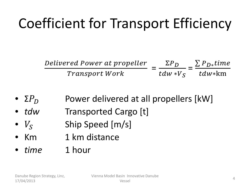# Coefficient for Transport Efficiency

Delivered P Transport W  $=\frac{\Sigma P_D}{t d\mu + \nu}$  $dW * V_S$  $=\frac{\sum P_{D*}}{t}$ dw∗km

- $\Sigma P_D$  Power delivered at all propellers [kW]
- *tdw* Transported Cargo [t]
- $V_s$  Ship Speed [m/s]
- Km 1 km distance
- *time* 1 hour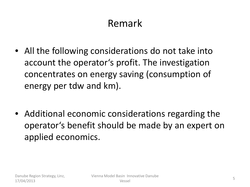## Remark

- All the following considerations do not take into account the operator's profit. The investigation concentrates on energy saving (consumption of energy per tdw and km).
- Additional economic considerations regarding the operator's benefit should be made by an expert on applied economics.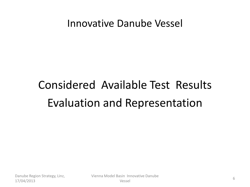#### Innovative Danube Vessel

# Considered Available Test Results Evaluation and Representation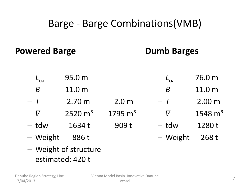### Barge - Barge Combinations(VMB)

#### **Powered Barge**

#### **Dumb Barges**

- *L*oa 95.0 m – *L*oa 76.0 m
- $B$  11.0 m  $- B$  11.0 m
- *T* 2.70 m 2.0 m – *T* 2.00 m
- $\nabla$  2520 m<sup>3</sup> 1795 m<sup>3</sup>  $- \nabla$  1548 m<sup>3</sup>
- $-$  tdw  $1634$  t 909 t
- Weight 886 t
- tdw 1280 t
	- Weight 268 t

– Weight of structure estimated: 420 t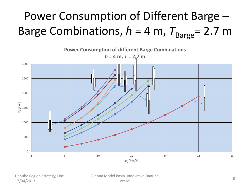# Power Consumption of Different Barge – Barge Combinations,  $h = 4$  m,  $T_{\text{Barge}} = 2.7$  m



Danube Region Strategy, Linz, 17/04/2013

Vienna Model Basin Innovative Danube Sin important bunded in the second service of the service of the service of the service of the service of the service of the service of the service of the service of the service of the service of the service of the service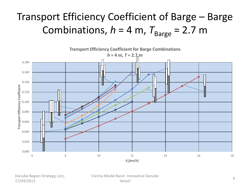# Transport Efficiency Coefficient of Barge – Barge Combinations,  $h = 4$  m,  $T_{\text{Barge}} = 2.7$  m



Danube Region Strategy, Linz, 17/04/2013

Vienna Model Basin Innovative Danube Shi important bandidae et al. 1991 - 1992 - 1993 - 1994 - 1994 - 1994 - 1994 - 1994 - 1994 - 1995 - 1996 - 199<br>Vessel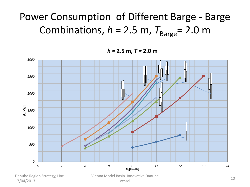# Power Consumption of Different Barge - Barge Combinations,  $h = 2.5$  m,  $T_{\text{Barge}} = 2.0$  m

*h =* **2.5 m,** *T =* **2.0 m**



17/04/2013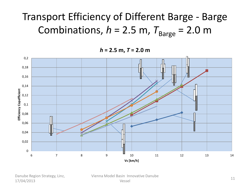# Transport Efficiency of Different Barge - Barge Combinations,  $h = 2.5$  m,  $T_{\text{Barge}} = 2.0$  m

*h* **= 2.5 m,** *T* **= 2.0 m**



Danube Region Strategy, Linz, 17/04/2013

Vienna Model Basin Innovative Danube vessel 11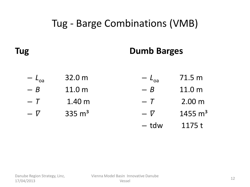### Tug - Barge Combinations (VMB)

**Tug**

#### **Dumb Barges**

| $- L_{oa}$ | 32.0 m            | $-L_{0a}$ | 71.5 m             |
|------------|-------------------|-----------|--------------------|
| $- B$      | 11.0 <sub>m</sub> | $- B$     | 11.0 <sub>m</sub>  |
| $- T$      | 1.40 <sub>m</sub> | $- T$     | 2.00 m             |
| $ \nabla$  | 335 $m3$          | $ \nabla$ | $1455 \text{ m}^3$ |
|            |                   | – tdw     | 1175 t             |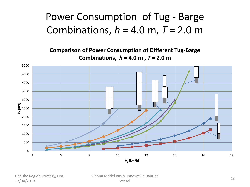### Power Consumption of Tug - Barge Combinations, *h* = 4.0 m, *T* = 2.0 m

**Comparison of Power Consumption of Different Tug-Barge Combinations,** *h* **= 4.0 m ,** *T* **= 2.0 m**



Danube Region Strategy, Linz, 17/04/2013

Vienna Model Basin Innovative Danube versel and the conduction of the conduction of the conduction of the conduction of the conduction of the conduction of the conduction of the conduction of the conduction of the conduction of the conduction of the conductio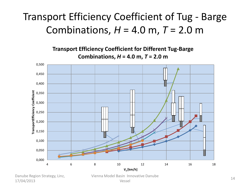## Transport Efficiency Coefficient of Tug - Barge Combinations, *H* = 4.0 m, *T* = 2.0 m

**Transport Efficiency Coefficient for Different Tug-Barge Combinations,** *H* **= 4.0 m,** *T* **= 2.0 m** 



17/04/2013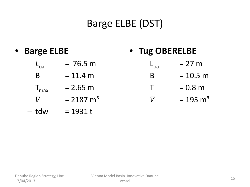## Barge ELBE (DST)

- **Barge ELBE** • **Tug OBERELBE**
	- $-L_{\text{oa}}$  = 76.5 m  $- L_{0a}$  = 27 m
	- $B = 11.4 m$  $- B = 10.5 m$
	- $T_{\text{max}}$  = 2.65 m  $- T = 0.8 m$

 $-V = 195 \text{ m}^3$ 

- $-V = 2187 \text{ m}^3$
- $-$  tdw  $= 1931 t$

Danube Region Strategy, Linz, 17/04/2013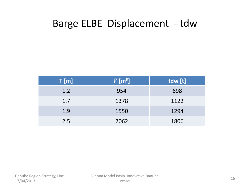#### Barge ELBE Displacement - tdw

| T[m] | $\nabla$ [m <sup>3</sup> ] | tdw [t] |
|------|----------------------------|---------|
| 1.2  | 954                        | 698     |
| 1.7  | 1378                       | 1122    |
| 1.9  | 1550                       | 1294    |
| 2.5  | 2062                       | 1806    |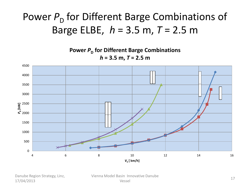## Power  $P_{\text{D}}$  for Different Barge Combinations of Barge ELBE, *h* = 3.5 m, *T* = 2.5 m

**Power P<sub>D</sub>** for Different Barge Combinations *h* **= 3.5 m,** *T* **= 2.5 m**



Danube Region Strategy, Linz, 17/04/2013

Vienna Model Basin Innovative Danube Shi important bandidae and the same of the same of the same of the same of the same of the same of the same of the same of the same of the same of the same of the same of the same of the same of the same of the same of the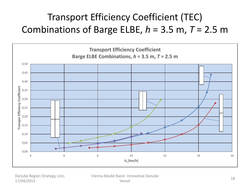### Transport Efficiency Coefficient (TEC) Combinations of Barge ELBE, *h* = 3.5 m, *T* = 2.5 m



Danube Region Strategy, Linz, 17/04/2013

Vienna Model Basin Innovative Danube versel and the series of the series of the series of the series of the series of the series of the series of the series of the series of the series of the series of the series of the series of the series of the series of t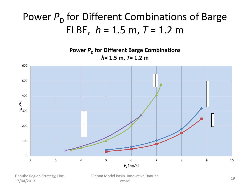## Power  $P_{\text{D}}$  for Different Combinations of Barge ELBE,  $h = 1.5$  m,  $T = 1.2$  m

**Power P<sub>D</sub>** for Different Barge Combinations *h***= 1.5 m,** *T***= 1.2 m**



Danube Region Strategy, Linz, 17/04/2013

Vienna Model Basin Innovative Danube versel and the series of the series of the series of the series of the series of the series of the series of the series of the series of the series of the series of the series of the series of the series of the series of t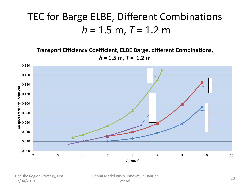## TEC for Barge ELBE, Different Combinations *h* = 1.5 m, *T* = 1.2 m

**Transport Efficiency Coefficient, ELBE Barge, different Combinations,**   $h = 1.5$  m,  $T = 1.2$  m



Danube Region Strategy, Linz, 17/04/2013

Vienna Model Basin Innovative Danube Shi important bandidae and the same of the same of the same of the same of the same of the same of the same of the same of the same of the same of the same of the same of the same of the same of the same of the same of the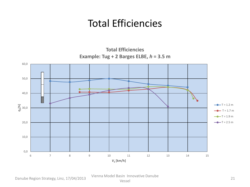### Total Efficiencies

**Total Efficiencies Example: Tug + 2 Barges ELBE,** *h* **= 3.5 m**



Danube Region Strategy, Linz, 17/04/2013 Vienna Model Basin Innovative Danube

Shi important bandidae and the contract of the contract of the contract of the contract of the contract of the contract of the contract of the contract of the contract of the contract of the contract of the contract of the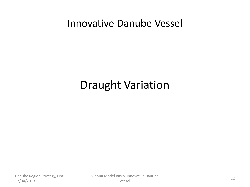#### Innovative Danube Vessel

# Draught Variation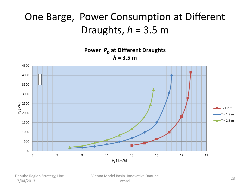## One Barge, Power Consumption at Different Draughts, *h* = 3.5 m

 $\overline{0}$ 500 1000 1500 2000 ៍ខ្មី<br><u>ខ</u>្មី<br>ខ្ម<sup>ី</sup> 2000 3000 3500 4000 4500 5 7 9 11 13 15 17 19 *V***<sup>S</sup> [ km/h] Power** *P*<sub>D</sub> at Different Draughts  $h = 3.5 m$  $-$ T=1.2 m  $\rightarrow$ T = 1.9 m  $T = 2.5 m$ 

Danube Region Strategy, Linz, 17/04/2013

Vienna Model Basin Innovative Danube Shi important bandidae and the same of the same of the same of the same of the same of the same of the same of the same of the same of the same of the same of the same of the same of the same of the same of the same of the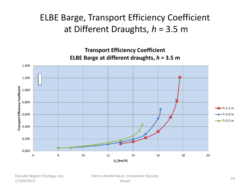#### ELBE Barge, Transport Efficiency Coefficient at Different Draughts, *h* = 3.5 m

**Transport Efficiency Coefficient ELBE Barge at different draughts,** *h* **= 3.5 m**



Danube Region Strategy, Linz, 17/04/2013

Vienna Model Basin Innovative Danube Sin important Bandberg (1989)<br>Vessel 1996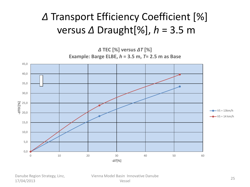## *Δ* Transport Efficiency Coefficient [%] versus *Δ* Draught[%], *h* = 3.5 m



Danube Region Strategy, Linz, 17/04/2013

Vienna Model Basin Innovative Danube Shimmovative Bandberg<br>Vessel 25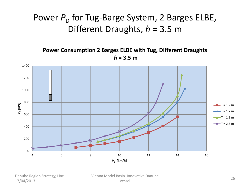#### Power P<sub>D</sub> for Tug-Barge System, 2 Barges ELBE, Different Draughts, *h* = 3.5 m

**Power Consumption 2 Barges ELBE with Tug, Different Draughts**  $h = 3.5$  m



Danube Region Strategy, Linz, 17/04/2013

Vienna Model Basin Innovative Danube Shi important bandidae and the contract of the contract of the contract of the contract of the contract of the contract of the contract of the contract of the contract of the contract of the contract of the contract of the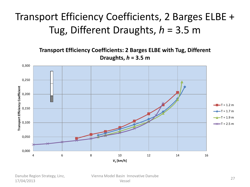## Transport Efficiency Coefficients, 2 Barges ELBE + Tug, Different Draughts, *h* = 3.5 m

**Transport Efficiency Coefficients: 2 Barges ELBE with Tug, Different Draughts,** *h* **= 3.5 m**



Danube Region Strategy, Linz, 17/04/2013

Vienna Model Basin Innovative Danube Sin important Bandberg (1989)<br>Vessel 27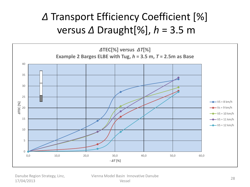## *Δ* Transport Efficiency Coefficient [%] versus *Δ* Draught[%], *h* = 3.5 m



Danube Region Strategy, Linz, 17/04/2013

Vienna Model Basin Innovative Danube Sin important Bandberg (1988)<br>Vessel 28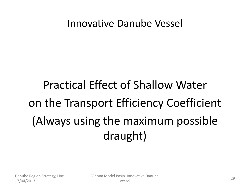#### Innovative Danube Vessel

# Practical Effect of Shallow Water on the Transport Efficiency Coefficient (Always using the maximum possible draught)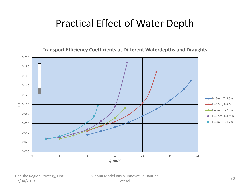### Practical Effect of Water Depth



**Transport Efficiency Coefficients at Different Waterdepths and Draughts**

Danube Region Strategy, Linz, 17/04/2013

Vienna Model Basin Innovative Danube Shi important bandidae and the same of the same of the same of the same of the same of the same of the same of the same of the same of the same of the same of the same of the same of the same of the same of the same of the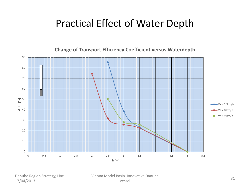### Practical Effect of Water Depth

0 10 20 30 40 50 60 70 80 90 0 0,5 1 1,5 2 2,5 3 3,5 4 4,5 5 5,5 *Δ***TEC [%]** *h* **[m**]  $Vs = 10km/h$  $-Vs = 8$  km/h  $Vs = 9$  km/h

**Change of Transport Efficiency Coefficient versus Waterdepth** 

Danube Region Strategy, Linz, 17/04/2013

Vienna Model Basin Innovative Danube Shi important bandidae and the same state of the state of the state of the state of the state of the state of the state of the state of the state of the state of the state of the state of the state of the state of the stat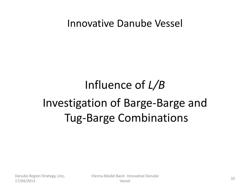Innovative Danube Vessel

# Influence of *L/B* Investigation of Barge-Barge and Tug-Barge Combinations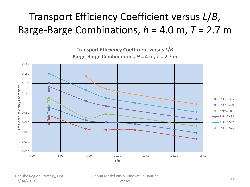# Transport Efficiency Coefficient versus *L*/*B*, Barge-Barge Combinations, *h* = 4.0 m, *T* = 2.7 m



Danube Region Strategy, Linz, 17/04/2013

Vienna Model Basin Innovative Danube Shi important bandidae and the same state of the state of the state of the state of the state of the state of the state of the state of the state of the state of the state of the state of the state of the state of the stat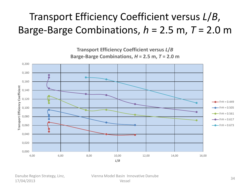# Transport Efficiency Coefficient versus *L*/*B*, Barge-Barge Combinations, *h* = 2.5 m, *T* = 2.0 m



Danube Region Strategy, Linz, 17/04/2013

Vienna Model Basin Innovative Danube Sin important Bandberg (1988)<br>Vessel 34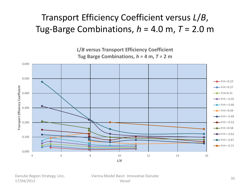#### Transport Efficiency Coefficient versus *L*/*B*, Tug-Barge Combinations, *h* = 4.0 m, *T* = 2.0 m

*L***/***B* **versus Transport Efficiency Coefficient** Tug Barge Combinations,  $h = 4$  m,  $T = 2$  m



Danube Region Strategy, Linz, 17/04/2013

Vienna Model Basin Innovative Danube Shimmovative Bandberg<br>Vessel 35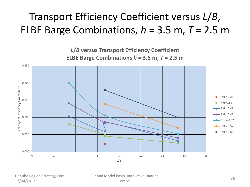## Transport Efficiency Coefficient versus *L*/*B*, ELBE Barge Combinations, *h* = 3.5 m, *T* = 2.5 m

*L***/***B* **versus Transport Efficiency Coefficient ELBE Barge Combinations**  $h = 3.5$  **m,**  $T = 2.5$  **m** 0,250 0,200 Transport Efficiency Coefficient **Transport Efficiency Coefficient**  $-$  FrH = 0.28 0,150  $-FrH=0.38$  $\bullet$  $-$ FrH = 0.43  $-FrH = 0.47$ 0,100  $-FRH = 0.52$  $-FrH = 0.57$  $-FrH = 0.62$ 0,050 0,000 0 2 4 6 8 10 12 14 16 *L***/***B*

Danube Region Strategy, Linz, 17/04/2013

Vienna Model Basin Innovative Danube Shi important bandwe<br>Vessel 36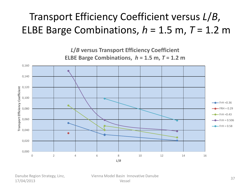## Transport Efficiency Coefficient versus *L*/*B*, ELBE Barge Combinations,  $h = 1.5$  m,  $T = 1.2$  m



Danube Region Strategy, Linz, 17/04/2013

Vienna Model Basin Innovative Danube Shi important bandidae and the same state of the state of the state of the state of the state of the state of the state of the state of the state of the state of the state of the state of the state of the state of the stat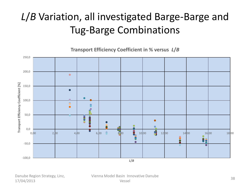# *L*/*B* Variation, all investigated Barge-Barge and Tug-Barge Combinations

**Transport Efficiency Coefficient in % versus** *L***/***B*



Danube Region Strategy, Linz, 17/04/2013

Vienna Model Basin Innovative Danube Sin important Bandberg (1988)<br>Vessel 38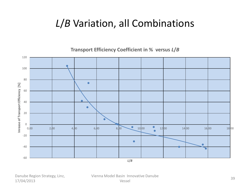### *L*/*B* Variation, all Combinations

**Transport Efficiency Coefficient in % versus** *L***/***B*



Danube Region Strategy, Linz, 17/04/2013

Vienna Model Basin Innovative Danube Sin important Bandberg (1992)<br>Vessel 39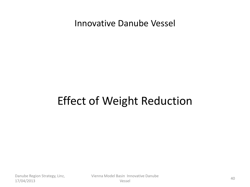#### Innovative Danube Vessel

# Effect of Weight Reduction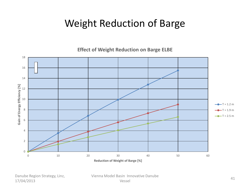### Weight Reduction of Barge

**Effect of Weight Reduction on Barge ELBE**



Danube Region Strategy, Linz, 17/04/2013

Vienna Model Basin Innovative Danube Shi important bandidae and the same of the same of the same of the same of the same of the same of the same of the same of the same of the same of the same of the same of the same of the same of the same of the same of the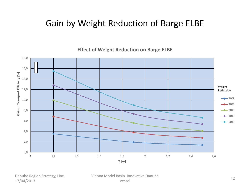#### Gain by Weight Reduction of Barge ELBE

**Effect of Weight Reduction on Barge ELBE**



Danube Region Strategy, Linz, 17/04/2013

Vienna Model Basin Innovative Danube Shi important bandische State († 1892)<br>Vessel 1922 - Andre State († 1892)<br>1923 - Andre State († 1893)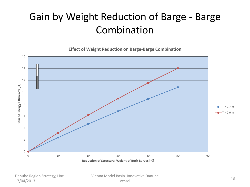## Gain by Weight Reduction of Barge - Barge Combination

**Effect of Weight Reduction on Barge-Barge Combination**



Danube Region Strategy, Linz, 17/04/2013

Vienna Model Basin Innovative Danube Shimmovative Bandberg<br>Vessel 43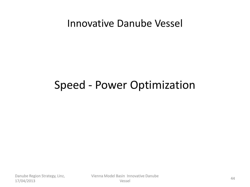#### Innovative Danube Vessel

## Speed - Power Optimization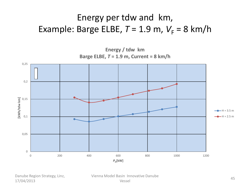#### Energy per tdw and km, Example: Barge ELBE,  $T = 1.9$  m,  $V_F = 8$  km/h



Danube Region Strategy, Linz, 17/04/2013

Vienna Model Basin Innovative Danube Shimmovative Bandberg<br>Vessel 45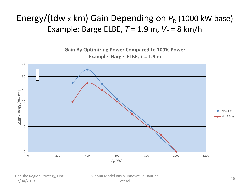#### Energy/(tdw x km) Gain Depending on  $P_D$  (1000 kW base) Example: Barge ELBE,  $T = 1.9$  m,  $V_F = 8$  km/h



Danube Region Strategy, Linz, 17/04/2013

Vienna Model Basin Innovative Danube Shimmovative Bandberg<br>Vessel 46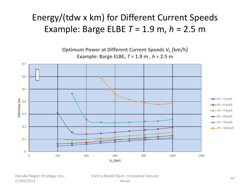#### Energy/(tdw x km) for Different Current Speeds Example: Barge ELBE *T* = 1.9 m, *h* = 2.5 m

**Optimum Power at Different Current Speeds**  $V_F$  **[km/h] Example: Barge ELBE,** *T* **= 1.9 m ,** *h* **= 2.5 m**



Danube Region Strategy, Linz, 17/04/2013

Vienna Model Basin Innovative Danube Sin important Bandberg (1988)<br>Vessel 1996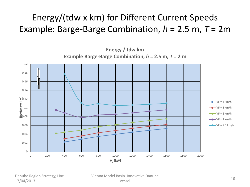#### Energy/(tdw x km) for Different Current Speeds Example: Barge-Barge Combination, *h* = 2.5 m, *T* = 2m



Danube Region Strategy, Linz, 17/04/2013

Vienna Model Basin Innovative Danube Sin important Bandberg (1988)<br>Vessel 1988 (1989)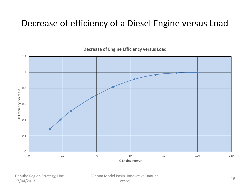#### Decrease of efficiency of a Diesel Engine versus Load



**Decrease of Engine Efficiency versus Load**

Danube Region Strategy, Linz, 17/04/2013

Vienna Model Basin Innovative Danube Sin important Bandberg (1986)<br>Vessel 1996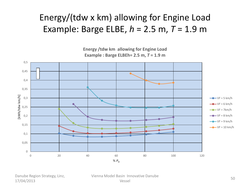#### Energy/(tdw x km) allowing for Engine Load Example: Barge ELBE, *h* = 2.5 m, *T* = 1.9 m

**Energy /tdw km allowing for Engine Load Example : Barge ELBEh= 2.5 m,** *T* **= 1.9 m**



Danube Region Strategy, Linz, 17/04/2013

Vienna Model Basin Innovative Danube Sin important Bandberg (1992) and the set of the set of the Society of the Society of the Society of the Society of the Society of the Society of the Society of the Society of the Society of the Society of the Society of t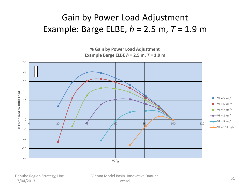#### Gain by Power Load Adjustment Example: Barge ELBE, *h* = 2.5 m, *T* = 1.9 m

**% Gain by Power Load Adjustment Example Barge ELBE** *h* **= 2.5 m,** *T* **= 1.9 m**



Danube Region Strategy, Linz, 17/04/2013

Vienna Model Basin Innovative Danube Sin important Bandberg (State State State State State State State State State State State State State State State State State State State State State State State State State State State State State State State State State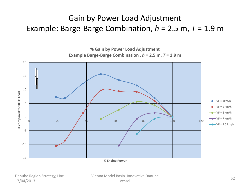#### Gain by Power Load Adjustment Example: Barge-Barge Combination, *h* = 2.5 m, *T* = 1.9 m



Danube Region Strategy, Linz, 17/04/2013

Vienna Model Basin Innovative Danube Vessel <sup>52</sup>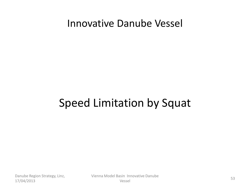#### Innovative Danube Vessel

# Speed Limitation by Squat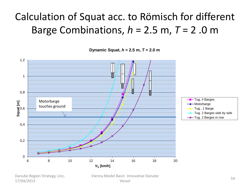# Calculation of Squat acc. to Römisch for different Barge Combinations,  $h = 2.5$  m,  $T = 2.0$  m

**Dynamic Squat,** *h* **= 2.5 m,** *T* **= 2.0 m**



Danube Region Strategy, Linz, 17/04/2013

Vienna Model Basin Innovative Danube Vessel <sup>54</sup>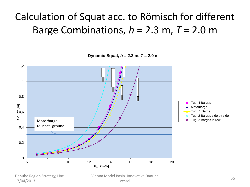## Calculation of Squat acc. to Römisch for different Barge Combinations, *h* = 2.3 m, *T* = 2.0 m

**Dynamic Squat,** *h* **= 2.3 m,** *T* **= 2.0 m**



Danube Region Strategy, Linz, 17/04/2013

Vienna Model Basin Innovative Danube Shimmovative Bandberg<br>Vessel 55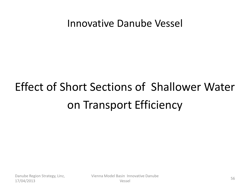#### Innovative Danube Vessel

# Effect of Short Sections of Shallower Water on Transport Efficiency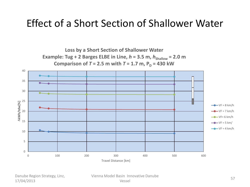#### Effect of a Short Section of Shallower Water

**Loss by a Short Section of Shallower Water Example: Tug + 2 Barges ELBE in Line,**  $h = 3.5$  **m,**  $h_{\text{Shallow}} = 2.0$  **m Comparison of**  $T = 2.5$  **m with**  $T = 1.7$  **m,**  $P_D = 430$  **kW** 



Danube Region Strategy, Linz, 17/04/2013

Vienna Model Basin Innovative Danube Vessel <sup>57</sup>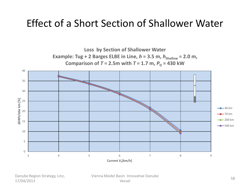#### Effect of a Short Section of Shallower Water



Danube Region Strategy, Linz, 17/04/2013

Vienna Model Basin Innovative Danube Sin important Bandberg (1988)<br>Vessel 1988 – Santa Santa Santa Santa Santa Santa Santa Santa Santa Santa Santa Santa Santa Santa Santa Santa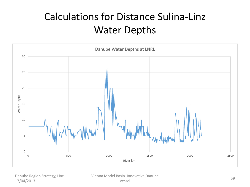## Calculations for Distance Sulina-Linz Water Depths



Danube Region Strategy, Linz, 17/04/2013

Vienna Model Basin Innovative Danube Sin important Bandberg (1992)<br>Vessel 1996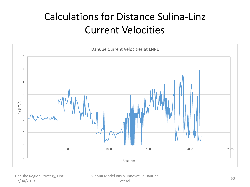## Calculations for Distance Sulina-Linz Current Velocities



Danube Region Strategy, Linz, 17/04/2013

Vienna Model Basin Innovative Danube Shi important bandidae and the series of the series of the series of the series of the series of the series of the series of the series of the series of the series of the series of the series of the series of the series of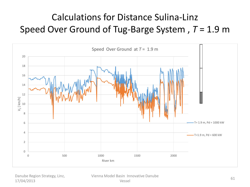### Calculations for Distance Sulina-Linz Speed Over Ground of Tug-Barge System , *T* = 1.9 m



Danube Region Strategy, Linz, 17/04/2013

Vienna Model Basin Innovative Danube Shi important bandidae et al. 61<br>Vessel 61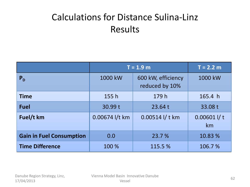#### Calculations for Distance Sulina-Linz Results

|                                 | $T = 1.9 m$    | $T = 2.2 m$                          |                     |
|---------------------------------|----------------|--------------------------------------|---------------------|
| $P_{D}$                         | 1000 kW        | 600 kW, efficiency<br>reduced by 10% | 1000 kW             |
| <b>Time</b>                     | 155h           | 179 h                                | 165.4 h             |
| <b>Fuel</b>                     | 30.99 t        | 23.64 t                              | 33.08 t             |
| Fuel/t km                       | 0.00674 l/t km | 0.00514 l/t km                       | $0.00601$ I/t<br>km |
| <b>Gain in Fuel Consumption</b> | 0.0            | 23.7 %                               | 10.83 %             |
| <b>Time Difference</b>          | 100 %          | 115.5 %                              | 106.7%              |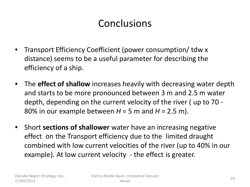### **Conclusions**

- Transport Efficiency Coefficient (power consumption/ tdw x distance) seems to be a useful parameter for describing the efficiency of a ship.
- The **effect of shallow** increases heavily with decreasing water depth and starts to be more pronounced between 3 m and 2.5 m water depth, depending on the current velocity of the river ( up to 70 - 80% in our example between  $H = 5$  m and  $H = 2.5$  m).
- Short **sections of shallower** water have an increasing negative effect on the Transport efficiency due to the limited draught combined with low current velocities of the river (up to 40% in our example). At low current velocity - the effect is greater.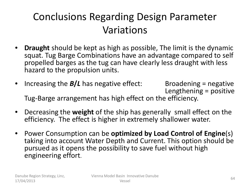## Conclusions Regarding Design Parameter Variations

- **Draught** should be kept as high as possible, The limit is the dynamic squat. Tug Barge Combinations have an advantage compared to self propelled barges as the tug can have clearly less draught with less hazard to the propulsion units.
- Increasing the **B/L** has negative effect: Broadening = negative Lengthening = positive Tug-Barge arrangement has high effect on the efficiency.
- Decreasing the **weight** of the ship has generally small effect on the efficiency. The effect is higher in extremely shallower water.
- Power Consumption can be **optimized by Load Control of Engine**(s) taking into account Water Depth and Current. This option should be pursued as it opens the possibility to save fuel without high engineering effort.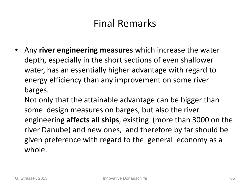#### Final Remarks

- Any **river engineering measures** which increase the water depth, especially in the short sections of even shallower water, has an essentially higher advantage with regard to energy efficiency than any improvement on some river barges.
	- Not only that the attainable advantage can be bigger than some design measures on barges, but also the river engineering **affects all ships**, existing (more than 3000 on the river Danube) and new ones, and therefore by far should be given preference with regard to the general economy as a whole.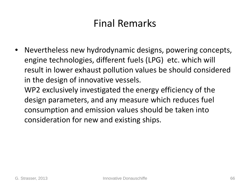### Final Remarks

• Nevertheless new hydrodynamic designs, powering concepts, engine technologies, different fuels (LPG) etc. which will result in lower exhaust pollution values be should considered in the design of innovative vessels. WP2 exclusively investigated the energy efficiency of the design parameters, and any measure which reduces fuel consumption and emission values should be taken into

consideration for new and existing ships.